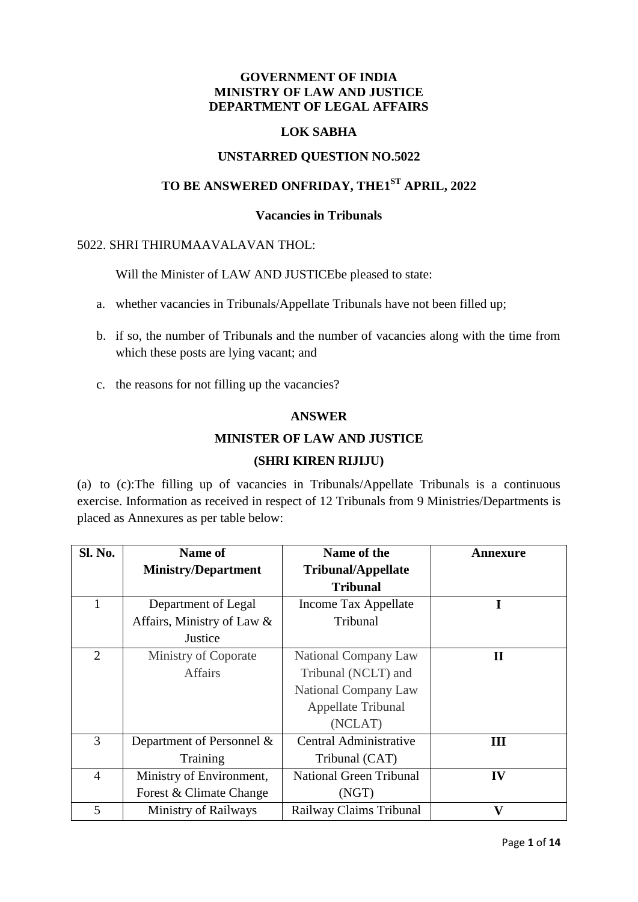#### **GOVERNMENT OF INDIA MINISTRY OF LAW AND JUSTICE DEPARTMENT OF LEGAL AFFAIRS**

### **LOK SABHA**

### **UNSTARRED QUESTION NO.5022**

# **TO BE ANSWERED ONFRIDAY, THE1 ST APRIL, 2022**

#### **Vacancies in Tribunals**

#### 5022. SHRI THIRUMAAVALAVAN THOL:

Will the Minister of LAW AND JUSTICEbe pleased to state:

- a. whether vacancies in Tribunals/Appellate Tribunals have not been filled up;
- b. if so, the number of Tribunals and the number of vacancies along with the time from which these posts are lying vacant; and
- c. the reasons for not filling up the vacancies?

#### **ANSWER**

#### **MINISTER OF LAW AND JUSTICE**

#### **(SHRI KIREN RIJIJU)**

(a) to (c):The filling up of vacancies in Tribunals/Appellate Tribunals is a continuous exercise. Information as received in respect of 12 Tribunals from 9 Ministries/Departments is placed as Annexures as per table below:

| <b>Sl. No.</b> | Name of                     | Name of the                    | Annexure                |
|----------------|-----------------------------|--------------------------------|-------------------------|
|                | <b>Ministry/Department</b>  | <b>Tribunal/Appellate</b>      |                         |
|                |                             | <b>Tribunal</b>                |                         |
| 1              | Department of Legal         | Income Tax Appellate           | I                       |
|                | Affairs, Ministry of Law &  | Tribunal                       |                         |
|                | Justice                     |                                |                         |
| 2              | Ministry of Coporate        | National Company Law           | $\mathbf{I}$            |
|                | <b>Affairs</b>              | Tribunal (NCLT) and            |                         |
|                |                             | National Company Law           |                         |
|                |                             | Appellate Tribunal             |                         |
|                |                             | (NCLAT)                        |                         |
| 3              | Department of Personnel &   | Central Administrative         | Ш                       |
|                | Training                    | Tribunal (CAT)                 |                         |
| $\overline{4}$ | Ministry of Environment,    | <b>National Green Tribunal</b> | IV                      |
|                | Forest & Climate Change     | (NGT)                          |                         |
| 5              | <b>Ministry of Railways</b> | Railway Claims Tribunal        | $\overline{\mathbf{V}}$ |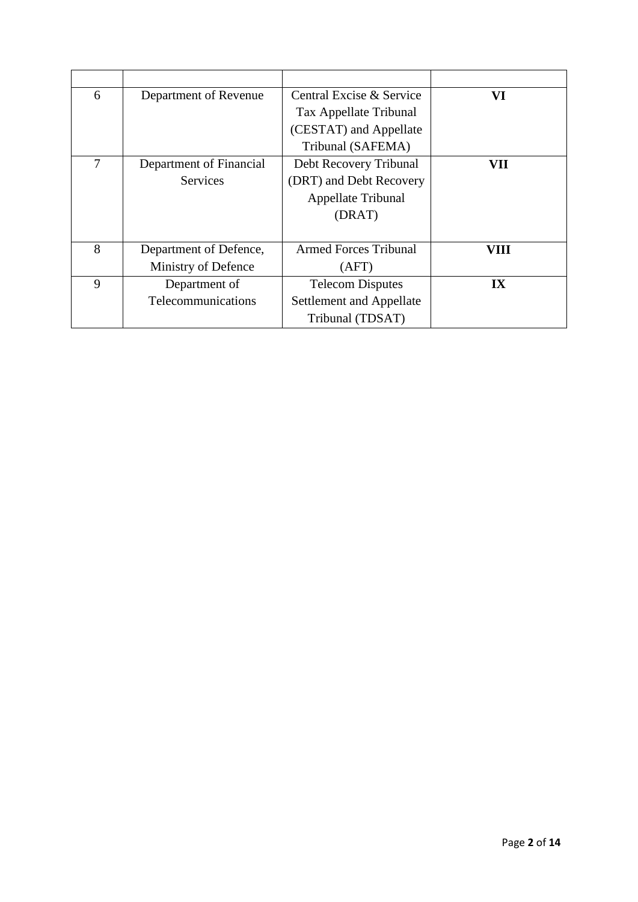| 6 | Department of Revenue   | Central Excise & Service     | VI                      |
|---|-------------------------|------------------------------|-------------------------|
|   |                         | Tax Appellate Tribunal       |                         |
|   |                         | (CESTAT) and Appellate       |                         |
|   |                         | Tribunal (SAFEMA)            |                         |
| 7 | Department of Financial | Debt Recovery Tribunal       | VII                     |
|   | <b>Services</b>         | (DRT) and Debt Recovery      |                         |
|   |                         | Appellate Tribunal           |                         |
|   |                         | (DRAT)                       |                         |
|   |                         |                              |                         |
| 8 | Department of Defence,  | <b>Armed Forces Tribunal</b> | VIII                    |
|   | Ministry of Defence     | (AFT)                        |                         |
| 9 | Department of           | <b>Telecom Disputes</b>      | $\mathbf{I} \mathbf{X}$ |
|   | Telecommunications      | Settlement and Appellate     |                         |
|   |                         | Tribunal (TDSAT)             |                         |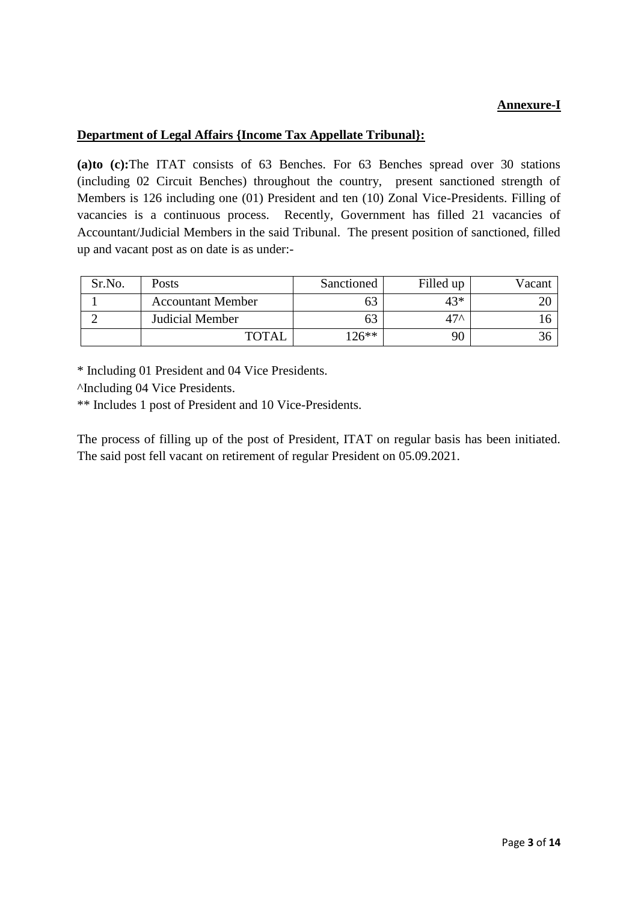# **Annexure-I**

## **Department of Legal Affairs {Income Tax Appellate Tribunal}:**

**(a)to (c):**The ITAT consists of 63 Benches. For 63 Benches spread over 30 stations (including 02 Circuit Benches) throughout the country, present sanctioned strength of Members is 126 including one (01) President and ten (10) Zonal Vice-Presidents. Filling of vacancies is a continuous process. Recently, Government has filled 21 vacancies of Accountant/Judicial Members in the said Tribunal. The present position of sanctioned, filled up and vacant post as on date is as under:-

| Sr.No. | <b>Posts</b>             | Sanctioned | Filled up | Vacant |
|--------|--------------------------|------------|-----------|--------|
|        | <b>Accountant Member</b> | ხა         | $43*$     |        |
|        | Judicial Member          | ხა         | $47^$     |        |
|        | <b>TOTAL</b>             | $126**$    | 90        |        |

\* Including 01 President and 04 Vice Presidents.

^Including 04 Vice Presidents.

\*\* Includes 1 post of President and 10 Vice-Presidents.

The process of filling up of the post of President, ITAT on regular basis has been initiated. The said post fell vacant on retirement of regular President on 05.09.2021.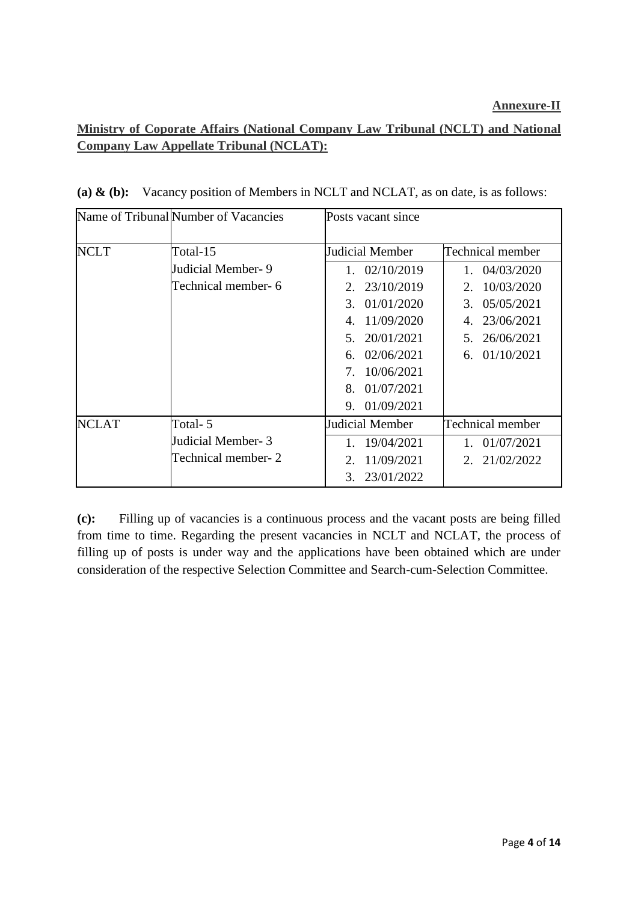# **Ministry of Coporate Affairs (National Company Law Tribunal (NCLT) and National Company Law Appellate Tribunal (NCLAT):**

|             | Name of Tribunal Number of Vacancies | Posts vacant since                             |                  |
|-------------|--------------------------------------|------------------------------------------------|------------------|
| <b>NCLT</b> | Total-15                             | Judicial Member                                | Technical member |
|             | Judicial Member-9                    | 1.02/10/2019                                   | 1. 04/03/2020    |
|             | Technical member- 6                  | 23/10/2019<br>2.                               | 10/03/2020<br>2. |
|             |                                      | 3.01/01/2020                                   | 3. 05/05/2021    |
|             |                                      | 11/09/2020<br>4.                               | 23/06/2021<br>4. |
|             |                                      | 20/01/2021<br>5 <sub>1</sub>                   | 26/06/2021<br>5. |
|             |                                      | 02/06/2021<br>6.                               | 6. $01/10/2021$  |
|             |                                      | 10/06/2021<br>$7_{\scriptscriptstyle{\ddots}}$ |                  |
|             |                                      | 01/07/2021<br>$8_{-}$                          |                  |
|             |                                      | 9. 01/09/2021                                  |                  |
| NCLAT       | Total- 5                             | Judicial Member                                | Technical member |
|             | Judicial Member- 3                   | 19/04/2021                                     | 1.01/07/2021     |
|             | Technical member- 2                  | 11/09/2021<br>2.                               | 2. 21/02/2022    |
|             |                                      | 23/01/2022<br>3.                               |                  |

**(a) & (b):** Vacancy position of Members in NCLT and NCLAT, as on date, is as follows:

**(c):** Filling up of vacancies is a continuous process and the vacant posts are being filled from time to time. Regarding the present vacancies in NCLT and NCLAT, the process of filling up of posts is under way and the applications have been obtained which are under consideration of the respective Selection Committee and Search-cum-Selection Committee.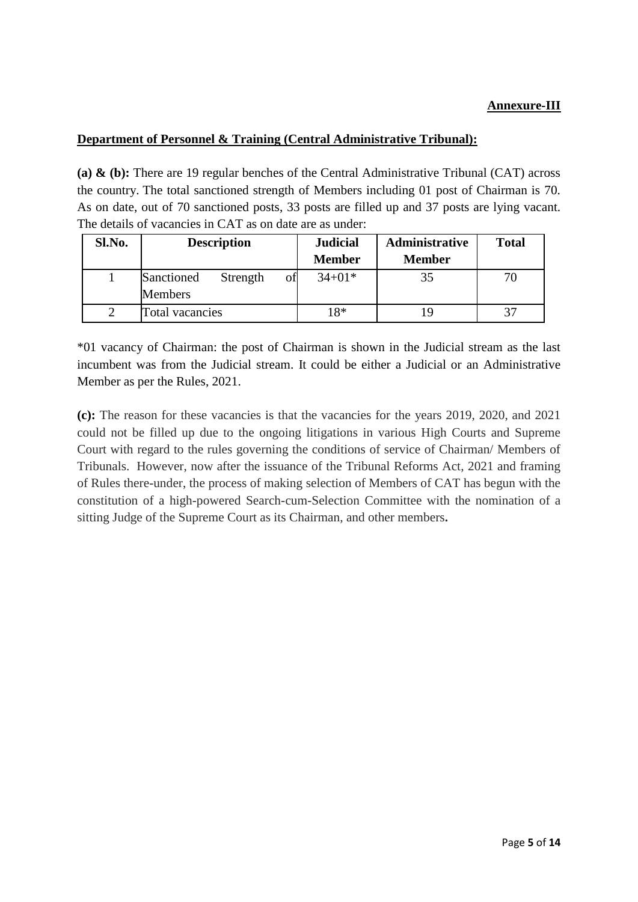## **Annexure-III**

#### **Department of Personnel & Training (Central Administrative Tribunal):**

**(a) & (b):** There are 19 regular benches of the Central Administrative Tribunal (CAT) across the country. The total sanctioned strength of Members including 01 post of Chairman is 70. As on date, out of 70 sanctioned posts, 33 posts are filled up and 37 posts are lying vacant. The details of vacancies in CAT as on date are as under:

| Sl.No. | <b>Description</b>                             | <b>Judicial</b> | <b>Administrative</b> | <b>Total</b> |
|--------|------------------------------------------------|-----------------|-----------------------|--------------|
|        |                                                | <b>Member</b>   | <b>Member</b>         |              |
|        | of<br>Sanctioned<br>Strength<br><b>Members</b> | $34+01*$        | 35                    | 70           |
|        | Total vacancies                                | 18*             | ١Q                    |              |

\*01 vacancy of Chairman: the post of Chairman is shown in the Judicial stream as the last incumbent was from the Judicial stream. It could be either a Judicial or an Administrative Member as per the Rules, 2021.

**(c):** The reason for these vacancies is that the vacancies for the years 2019, 2020, and 2021 could not be filled up due to the ongoing litigations in various High Courts and Supreme Court with regard to the rules governing the conditions of service of Chairman/ Members of Tribunals. However, now after the issuance of the Tribunal Reforms Act, 2021 and framing of Rules there-under, the process of making selection of Members of CAT has begun with the constitution of a high-powered Search-cum-Selection Committee with the nomination of a sitting Judge of the Supreme Court as its Chairman, and other members**.**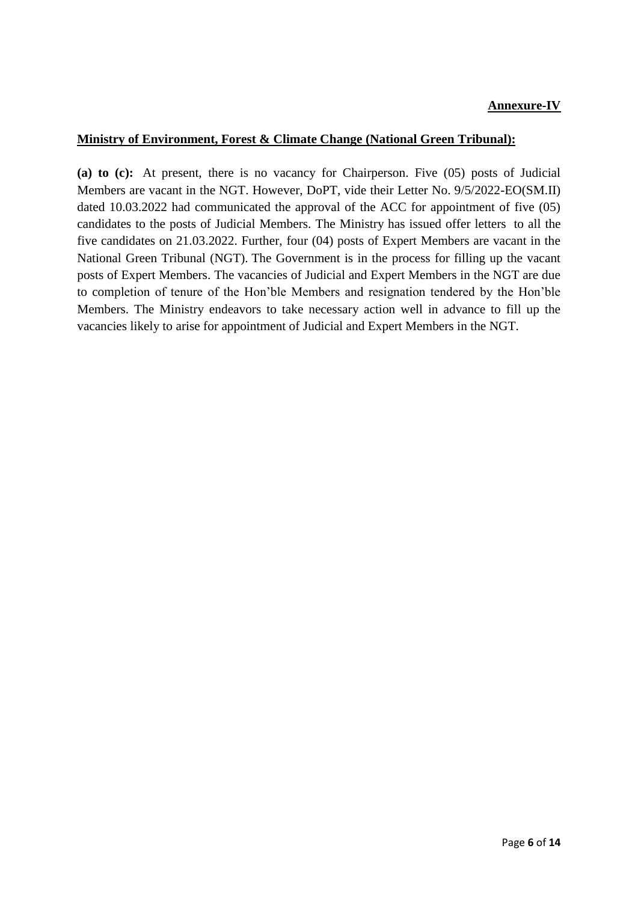### **Annexure-IV**

#### **Ministry of Environment, Forest & Climate Change (National Green Tribunal):**

**(a) to (c):** At present, there is no vacancy for Chairperson. Five (05) posts of Judicial Members are vacant in the NGT. However, DoPT, vide their Letter No. 9/5/2022-EO(SM.II) dated 10.03.2022 had communicated the approval of the ACC for appointment of five (05) candidates to the posts of Judicial Members. The Ministry has issued offer letters to all the five candidates on 21.03.2022. Further, four (04) posts of Expert Members are vacant in the National Green Tribunal (NGT). The Government is in the process for filling up the vacant posts of Expert Members. The vacancies of Judicial and Expert Members in the NGT are due to completion of tenure of the Hon'ble Members and resignation tendered by the Hon'ble Members. The Ministry endeavors to take necessary action well in advance to fill up the vacancies likely to arise for appointment of Judicial and Expert Members in the NGT.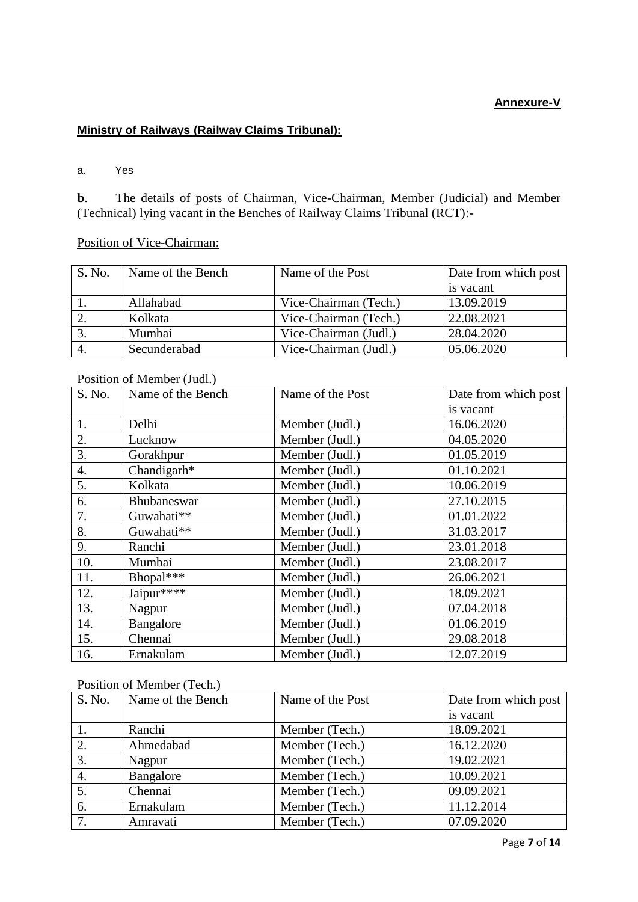## **Annexure-V**

# **Ministry of Railways (Railway Claims Tribunal):**

a. Yes

**b**. The details of posts of Chairman, Vice-Chairman, Member (Judicial) and Member (Technical) lying vacant in the Benches of Railway Claims Tribunal (RCT):-

Position of Vice-Chairman:

| S. No. | Name of the Bench | Name of the Post      | Date from which post |
|--------|-------------------|-----------------------|----------------------|
|        |                   |                       | is vacant            |
|        | Allahabad         | Vice-Chairman (Tech.) | 13.09.2019           |
|        | Kolkata           | Vice-Chairman (Tech.) | 22.08.2021           |
| 3.     | Mumbai            | Vice-Chairman (Judl.) | 28.04.2020           |
|        | Secunderabad      | Vice-Chairman (Judl.) | 05.06.2020           |

#### Position of Member (Judl.)

| S. No.           | Name of the Bench | Name of the Post | Date from which post |
|------------------|-------------------|------------------|----------------------|
|                  |                   |                  | is vacant            |
| 1.               | Delhi             | Member (Judl.)   | 16.06.2020           |
| 2.               | Lucknow           | Member (Judl.)   | 04.05.2020           |
| 3.               | Gorakhpur         | Member (Judl.)   | 01.05.2019           |
| $\overline{4}$ . | Chandigarh*       | Member (Judl.)   | 01.10.2021           |
| 5.               | Kolkata           | Member (Judl.)   | 10.06.2019           |
| 6.               | Bhubaneswar       | Member (Judl.)   | 27.10.2015           |
| 7.               | Guwahati**        | Member (Judl.)   | 01.01.2022           |
| 8.               | Guwahati**        | Member (Judl.)   | 31.03.2017           |
| 9.               | Ranchi            | Member (Judl.)   | 23.01.2018           |
| 10.              | Mumbai            | Member (Judl.)   | 23.08.2017           |
| 11.              | Bhopal***         | Member (Judl.)   | 26.06.2021           |
| 12.              | Jaipur****        | Member (Judl.)   | 18.09.2021           |
| 13.              | Nagpur            | Member (Judl.)   | 07.04.2018           |
| 14.              | Bangalore         | Member (Judl.)   | 01.06.2019           |
| 15.              | Chennai           | Member (Judl.)   | 29.08.2018           |
| 16.              | Ernakulam         | Member (Judl.)   | 12.07.2019           |

#### Position of Member (Tech.)

| S. No.           | Name of the Bench | Name of the Post | Date from which post |
|------------------|-------------------|------------------|----------------------|
|                  |                   |                  | is vacant            |
|                  | Ranchi            | Member (Tech.)   | 18.09.2021           |
| 2.               | Ahmedabad         | Member (Tech.)   | 16.12.2020           |
| 3.               | Nagpur            | Member (Tech.)   | 19.02.2021           |
| $\overline{4}$ . | Bangalore         | Member (Tech.)   | 10.09.2021           |
| 5.               | Chennai           | Member (Tech.)   | 09.09.2021           |
| 6.               | Ernakulam         | Member (Tech.)   | 11.12.2014           |
| 7.               | Amravati          | Member (Tech.)   | 07.09.2020           |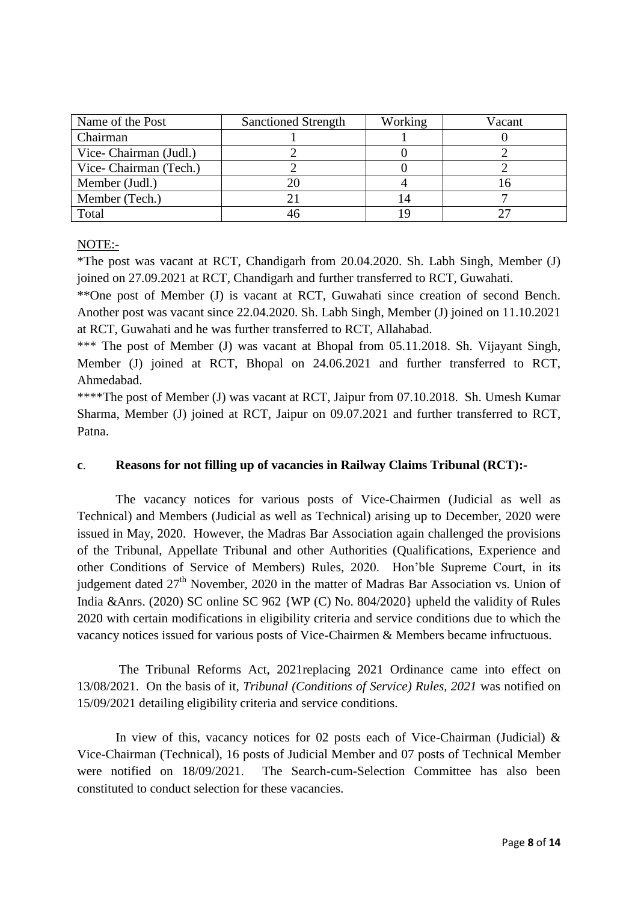| Name of the Post      | <b>Sanctioned Strength</b> | Working | Vacant |
|-----------------------|----------------------------|---------|--------|
| Chairman              |                            |         |        |
| Vice-Chairman (Judl.) |                            |         |        |
| Vice-Chairman (Tech.) |                            |         |        |
| Member (Judl.)        |                            |         |        |
| Member (Tech.)        |                            |         |        |
| Total                 |                            | l C     |        |

#### NOTE:-

\*The post was vacant at RCT, Chandigarh from 20.04.2020. Sh. Labh Singh, Member (J) joined on 27.09.2021 at RCT, Chandigarh and further transferred to RCT, Guwahati.

\*\*One post of Member (J) is vacant at RCT, Guwahati since creation of second Bench. Another post was vacant since 22.04.2020. Sh. Labh Singh, Member (J) joined on 11.10.2021 at RCT, Guwahati and he was further transferred to RCT, Allahabad.

\*\*\* The post of Member (J) was vacant at Bhopal from 05.11.2018. Sh. Vijayant Singh, Member (J) joined at RCT, Bhopal on 24.06.2021 and further transferred to RCT, Ahmedabad.

\*\*\*\*The post of Member (J) was vacant at RCT, Jaipur from 07.10.2018. Sh. Umesh Kumar Sharma, Member (J) joined at RCT, Jaipur on 09.07.2021 and further transferred to RCT, Patna.

### **c**. **Reasons for not filling up of vacancies in Railway Claims Tribunal (RCT):-**

The vacancy notices for various posts of Vice-Chairmen (Judicial as well as Technical) and Members (Judicial as well as Technical) arising up to December, 2020 were issued in May, 2020. However, the Madras Bar Association again challenged the provisions of the Tribunal, Appellate Tribunal and other Authorities (Qualifications, Experience and other Conditions of Service of Members) Rules, 2020. Hon'ble Supreme Court, in its judgement dated 27<sup>th</sup> November, 2020 in the matter of Madras Bar Association vs. Union of India &Anrs. (2020) SC online SC 962 {WP (C) No. 804/2020} upheld the validity of Rules 2020 with certain modifications in eligibility criteria and service conditions due to which the vacancy notices issued for various posts of Vice-Chairmen & Members became infructuous.

The Tribunal Reforms Act, 2021replacing 2021 Ordinance came into effect on 13/08/2021. On the basis of it, *Tribunal (Conditions of Service) Rules, 2021* was notified on 15/09/2021 detailing eligibility criteria and service conditions.

In view of this, vacancy notices for 02 posts each of Vice-Chairman (Judicial)  $\&$ Vice-Chairman (Technical), 16 posts of Judicial Member and 07 posts of Technical Member were notified on 18/09/2021. The Search-cum-Selection Committee has also been constituted to conduct selection for these vacancies.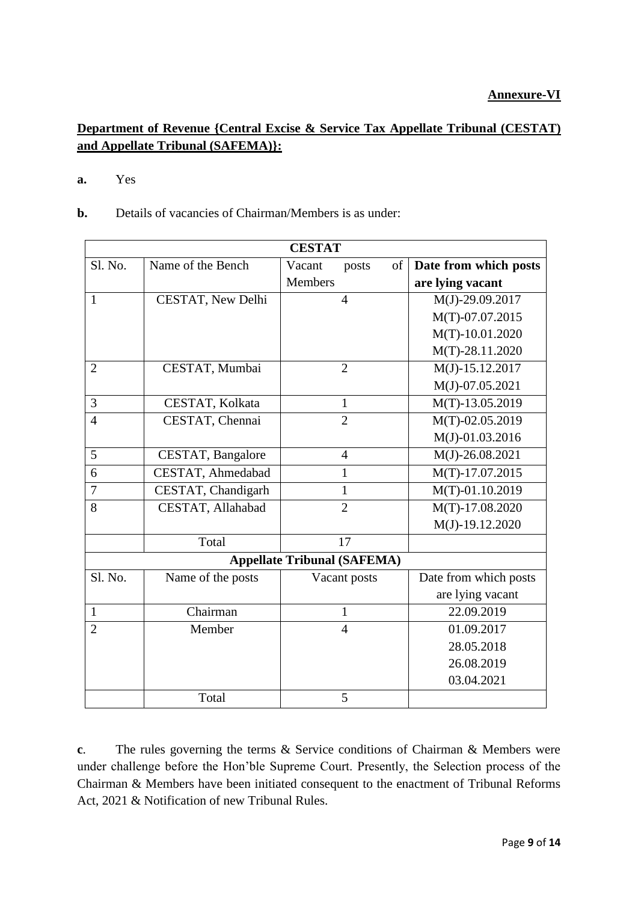# **Department of Revenue {Central Excise & Service Tax Appellate Tribunal (CESTAT) and Appellate Tribunal (SAFEMA)}:**

#### **a.** Yes

**b.** Details of vacancies of Chairman/Members is as under:

| <b>CESTAT</b>  |                    |                                    |    |                       |
|----------------|--------------------|------------------------------------|----|-----------------------|
| Sl. No.        | Name of the Bench  | Vacant<br>posts                    | of | Date from which posts |
|                |                    | <b>Members</b>                     |    | are lying vacant      |
| $\mathbf{1}$   | CESTAT, New Delhi  | $\overline{4}$                     |    | $M(J) - 29.09.2017$   |
|                |                    |                                    |    | M(T)-07.07.2015       |
|                |                    |                                    |    | $M(T) - 10.01.2020$   |
|                |                    |                                    |    | $M(T) - 28.11.2020$   |
| $\overline{2}$ | CESTAT, Mumbai     | $\overline{2}$                     |    | $M(J) - 15.12.2017$   |
|                |                    |                                    |    | $M(J) - 07.05.2021$   |
| 3              | CESTAT, Kolkata    | $\mathbf{1}$                       |    | M(T)-13.05.2019       |
| $\overline{4}$ | CESTAT, Chennai    | $\overline{2}$                     |    | M(T)-02.05.2019       |
|                |                    |                                    |    | $M(J)-01.03.2016$     |
| 5              | CESTAT, Bangalore  | $\overline{4}$                     |    | $M(J) - 26.08.2021$   |
| 6              | CESTAT, Ahmedabad  | $\mathbf{1}$                       |    | M(T)-17.07.2015       |
| $\overline{7}$ | CESTAT, Chandigarh | $\mathbf{1}$                       |    | $M(T)-01.10.2019$     |
| 8              | CESTAT, Allahabad  | $\overline{2}$                     |    | $M(T) - 17.08.2020$   |
|                |                    |                                    |    | $M(J) - 19.12.2020$   |
|                | Total              | 17                                 |    |                       |
|                |                    | <b>Appellate Tribunal (SAFEMA)</b> |    |                       |
| Sl. No.        | Name of the posts  | Vacant posts                       |    | Date from which posts |
|                |                    |                                    |    | are lying vacant      |
| $\mathbf{1}$   | Chairman           | 1                                  |    | 22.09.2019            |
| $\overline{2}$ | Member             | $\overline{4}$                     |    | 01.09.2017            |
|                |                    |                                    |    | 28.05.2018            |
|                |                    |                                    |    | 26.08.2019            |
|                |                    |                                    |    | 03.04.2021            |
|                | Total              | 5                                  |    |                       |

**c**. The rules governing the terms & Service conditions of Chairman & Members were under challenge before the Hon'ble Supreme Court. Presently, the Selection process of the Chairman & Members have been initiated consequent to the enactment of Tribunal Reforms Act, 2021 & Notification of new Tribunal Rules.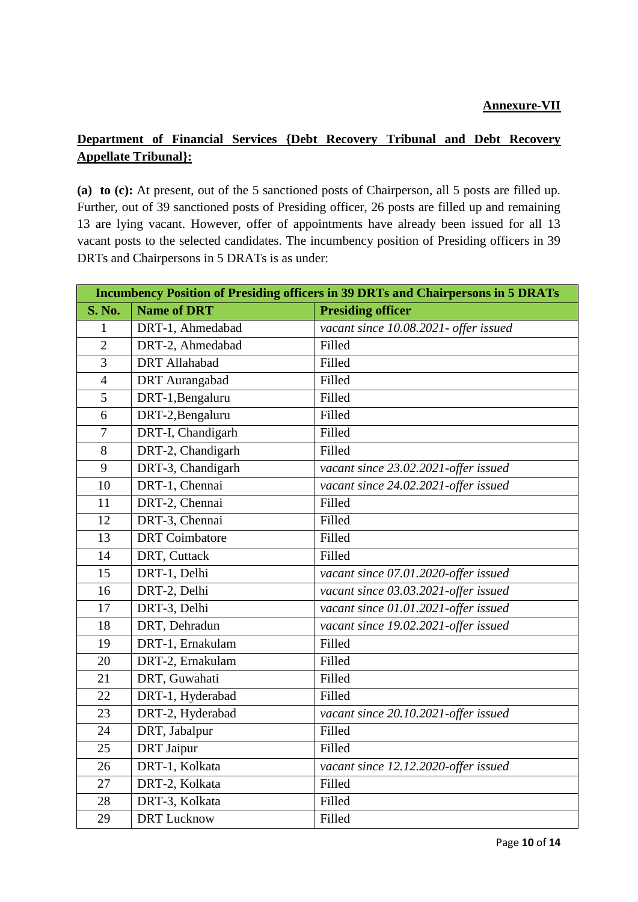# **Department of Financial Services {Debt Recovery Tribunal and Debt Recovery Appellate Tribunal}:**

**(a) to (c):** At present, out of the 5 sanctioned posts of Chairperson, all 5 posts are filled up. Further, out of 39 sanctioned posts of Presiding officer, 26 posts are filled up and remaining 13 are lying vacant. However, offer of appointments have already been issued for all 13 vacant posts to the selected candidates. The incumbency position of Presiding officers in 39 DRTs and Chairpersons in 5 DRATs is as under:

|                | <b>Incumbency Position of Presiding officers in 39 DRTs and Chairpersons in 5 DRATs</b> |                                       |  |  |
|----------------|-----------------------------------------------------------------------------------------|---------------------------------------|--|--|
| <b>S. No.</b>  | <b>Name of DRT</b>                                                                      | <b>Presiding officer</b>              |  |  |
| 1              | DRT-1, Ahmedabad                                                                        | vacant since 10.08.2021- offer issued |  |  |
| $\overline{2}$ | DRT-2, Ahmedabad                                                                        | Filled                                |  |  |
| $\overline{3}$ | <b>DRT</b> Allahabad                                                                    | Filled                                |  |  |
| $\overline{4}$ | <b>DRT</b> Aurangabad                                                                   | Filled                                |  |  |
| 5              | DRT-1, Bengaluru                                                                        | Filled                                |  |  |
| 6              | DRT-2, Bengaluru                                                                        | Filled                                |  |  |
| $\tau$         | DRT-I, Chandigarh                                                                       | Filled                                |  |  |
| 8              | DRT-2, Chandigarh                                                                       | Filled                                |  |  |
| 9              | DRT-3, Chandigarh                                                                       | vacant since 23.02.2021-offer issued  |  |  |
| 10             | DRT-1, Chennai                                                                          | vacant since 24.02.2021-offer issued  |  |  |
| 11             | DRT-2, Chennai                                                                          | Filled                                |  |  |
| 12             | DRT-3, Chennai                                                                          | Filled                                |  |  |
| 13             | <b>DRT</b> Coimbatore                                                                   | Filled                                |  |  |
| 14             | DRT, Cuttack                                                                            | Filled                                |  |  |
| 15             | DRT-1, Delhi                                                                            | vacant since 07.01.2020-offer issued  |  |  |
| 16             | DRT-2, Delhi                                                                            | vacant since 03.03.2021-offer issued  |  |  |
| 17             | DRT-3, Delhi                                                                            | vacant since 01.01.2021-offer issued  |  |  |
| 18             | DRT, Dehradun                                                                           | vacant since 19.02.2021-offer issued  |  |  |
| 19             | DRT-1, Ernakulam                                                                        | Filled                                |  |  |
| 20             | DRT-2, Ernakulam                                                                        | Filled                                |  |  |
| 21             | DRT, Guwahati                                                                           | Filled                                |  |  |
| 22             | DRT-1, Hyderabad                                                                        | Filled                                |  |  |
| 23             | DRT-2, Hyderabad                                                                        | vacant since 20.10.2021-offer issued  |  |  |
| 24             | DRT, Jabalpur                                                                           | Filled                                |  |  |
| 25             | <b>DRT</b> Jaipur                                                                       | Filled                                |  |  |
| 26             | DRT-1, Kolkata                                                                          | vacant since 12.12.2020-offer issued  |  |  |
| 27             | DRT-2, Kolkata                                                                          | Filled                                |  |  |
| 28             | DRT-3, Kolkata                                                                          | Filled                                |  |  |
| 29             | <b>DRT</b> Lucknow                                                                      | Filled                                |  |  |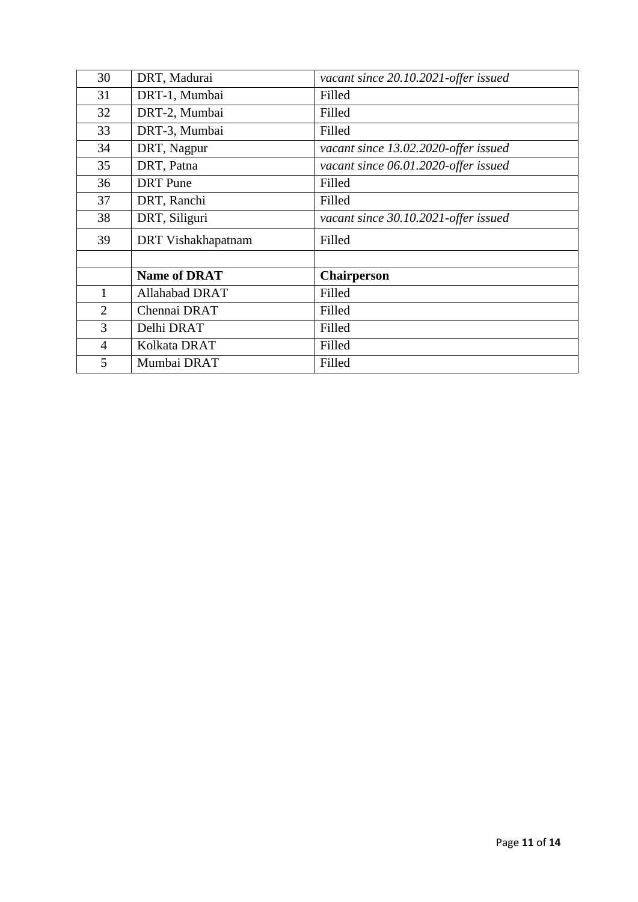| 30             | DRT, Madurai              | vacant since 20.10.2021-offer issued |
|----------------|---------------------------|--------------------------------------|
| 31             | DRT-1, Mumbai             | Filled                               |
| 32             | DRT-2, Mumbai             | Filled                               |
| 33             | DRT-3, Mumbai             | Filled                               |
| 34             | DRT, Nagpur               | vacant since 13.02.2020-offer issued |
| 35             | DRT, Patna                | vacant since 06.01.2020-offer issued |
| 36             | <b>DRT</b> Pune           | Filled                               |
| 37             | DRT, Ranchi               | Filled                               |
| 38             | DRT, Siliguri             | vacant since 30.10.2021-offer issued |
| 39             | <b>DRT</b> Vishakhapatnam | Filled                               |
|                |                           |                                      |
|                | <b>Name of DRAT</b>       | <b>Chairperson</b>                   |
|                | Allahabad DRAT            | Filled                               |
| 2              | Chennai DRAT              | Filled                               |
| 3              | Delhi DRAT                | Filled                               |
| $\overline{4}$ | Kolkata DRAT              | Filled                               |
| 5              | Mumbai DRAT               | Filled                               |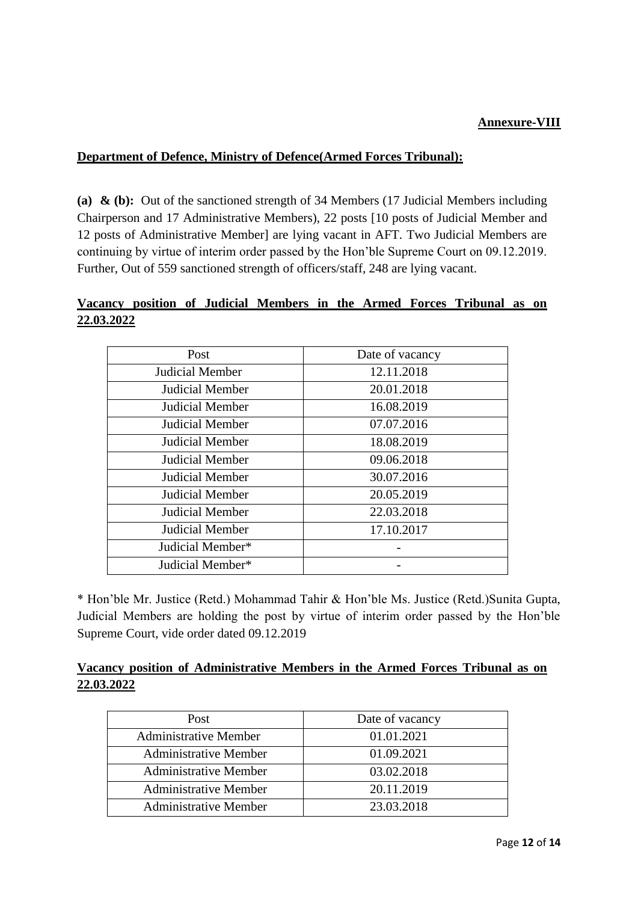### **Annexure-VIII**

### **Department of Defence, Ministry of Defence(Armed Forces Tribunal):**

**(a) & (b):** Out of the sanctioned strength of 34 Members (17 Judicial Members including Chairperson and 17 Administrative Members), 22 posts [10 posts of Judicial Member and 12 posts of Administrative Member] are lying vacant in AFT. Two Judicial Members are continuing by virtue of interim order passed by the Hon'ble Supreme Court on 09.12.2019. Further, Out of 559 sanctioned strength of officers/staff, 248 are lying vacant.

# **Vacancy position of Judicial Members in the Armed Forces Tribunal as on 22.03.2022**

| Post                   | Date of vacancy |
|------------------------|-----------------|
| Judicial Member        | 12.11.2018      |
| Judicial Member        | 20.01.2018      |
| <b>Judicial Member</b> | 16.08.2019      |
| Judicial Member        | 07.07.2016      |
| Judicial Member        | 18.08.2019      |
| Judicial Member        | 09.06.2018      |
| Judicial Member        | 30.07.2016      |
| Judicial Member        | 20.05.2019      |
| <b>Judicial Member</b> | 22.03.2018      |
| <b>Judicial Member</b> | 17.10.2017      |
| Judicial Member*       |                 |
| Judicial Member*       |                 |

\* Hon'ble Mr. Justice (Retd.) Mohammad Tahir & Hon'ble Ms. Justice (Retd.)Sunita Gupta, Judicial Members are holding the post by virtue of interim order passed by the Hon'ble Supreme Court, vide order dated 09.12.2019

# **Vacancy position of Administrative Members in the Armed Forces Tribunal as on 22.03.2022**

| Date of vacancy |
|-----------------|
| 01.01.2021      |
| 01.09.2021      |
| 03.02.2018      |
| 20.11.2019      |
| 23.03.2018      |
|                 |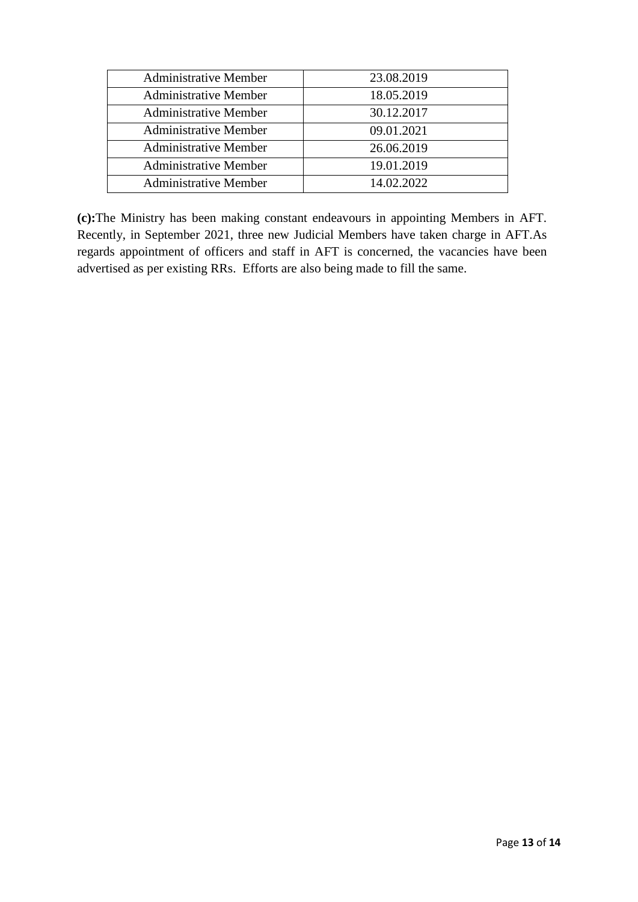| <b>Administrative Member</b> | 23.08.2019 |
|------------------------------|------------|
| <b>Administrative Member</b> | 18.05.2019 |
| <b>Administrative Member</b> | 30.12.2017 |
| <b>Administrative Member</b> | 09.01.2021 |
| <b>Administrative Member</b> | 26.06.2019 |
| <b>Administrative Member</b> | 19.01.2019 |
| <b>Administrative Member</b> | 14.02.2022 |

**(c):**The Ministry has been making constant endeavours in appointing Members in AFT. Recently, in September 2021, three new Judicial Members have taken charge in AFT.As regards appointment of officers and staff in AFT is concerned, the vacancies have been advertised as per existing RRs. Efforts are also being made to fill the same.